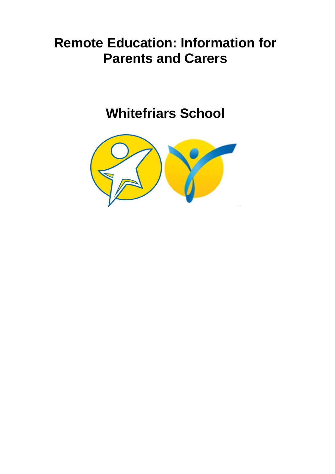# **Remote Education: Information for Parents and Carers**

# **Whitefriars School**

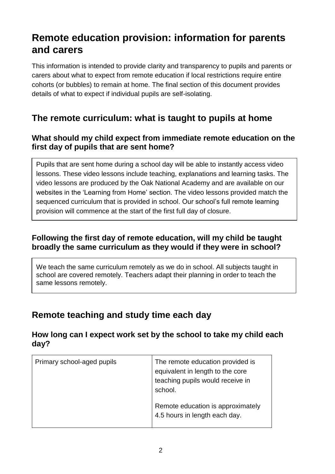# **Remote education provision: information for parents and carers**

This information is intended to provide clarity and transparency to pupils and parents or carers about what to expect from remote education if local restrictions require entire cohorts (or bubbles) to remain at home. The final section of this document provides details of what to expect if individual pupils are self-isolating.

### **The remote curriculum: what is taught to pupils at home**

#### **What should my child expect from immediate remote education on the first day of pupils that are sent home?**

Pupils that are sent home during a school day will be able to instantly access video lessons. These video lessons include teaching, explanations and learning tasks. The video lessons are produced by the Oak National Academy and are available on our websites in the 'Learning from Home' section. The video lessons provided match the sequenced curriculum that is provided in school. Our school's full remote learning provision will commence at the start of the first full day of closure.

#### **Following the first day of remote education, will my child be taught broadly the same curriculum as they would if they were in school?**

We teach the same curriculum remotely as we do in school. All subjects taught in school are covered remotely. Teachers adapt their planning in order to teach the same lessons remotely.

# **Remote teaching and study time each day**

#### **How long can I expect work set by the school to take my child each day?**

| Primary school-aged pupils | The remote education provided is<br>equivalent in length to the core<br>teaching pupils would receive in<br>school. |
|----------------------------|---------------------------------------------------------------------------------------------------------------------|
|                            | Remote education is approximately<br>4.5 hours in length each day.                                                  |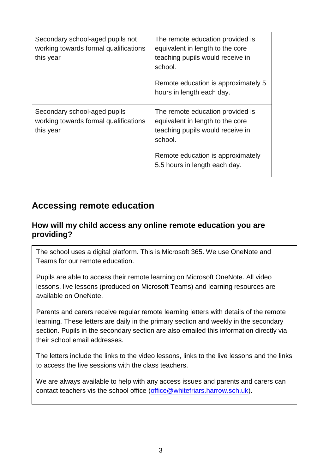| Secondary school-aged pupils not<br>working towards formal qualifications<br>this year | The remote education provided is<br>equivalent in length to the core<br>teaching pupils would receive in<br>school.<br>Remote education is approximately 5<br>hours in length each day.   |
|----------------------------------------------------------------------------------------|-------------------------------------------------------------------------------------------------------------------------------------------------------------------------------------------|
| Secondary school-aged pupils<br>working towards formal qualifications<br>this year     | The remote education provided is<br>equivalent in length to the core<br>teaching pupils would receive in<br>school.<br>Remote education is approximately<br>5.5 hours in length each day. |

# **Accessing remote education**

#### **How will my child access any online remote education you are providing?**

The school uses a digital platform. This is Microsoft 365. We use OneNote and Teams for our remote education.

Pupils are able to access their remote learning on Microsoft OneNote. All video lessons, live lessons (produced on Microsoft Teams) and learning resources are available on OneNote.

Parents and carers receive regular remote learning letters with details of the remote learning. These letters are daily in the primary section and weekly in the secondary section. Pupils in the secondary section are also emailed this information directly via their school email addresses.

The letters include the links to the video lessons, links to the live lessons and the links to access the live sessions with the class teachers.

We are always available to help with any access issues and parents and carers can contact teachers vis the school office [\(office@whitefriars.harrow.sch.uk\)](mailto:office@whitefriars.harrow.sch.uk).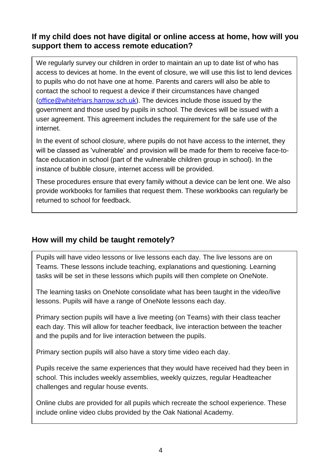#### **If my child does not have digital or online access at home, how will you support them to access remote education?**

We regularly survey our children in order to maintain an up to date list of who has access to devices at home. In the event of closure, we will use this list to lend devices to pupils who do not have one at home. Parents and carers will also be able to contact the school to request a device if their circumstances have changed [\(office@whitefriars.harrow.sch.uk\)](mailto:office@whitefriars.harrow.sch.uk). The devices include those issued by the government and those used by pupils in school. The devices will be issued with a user agreement. This agreement includes the requirement for the safe use of the internet.

In the event of school closure, where pupils do not have access to the internet, they will be classed as 'vulnerable' and provision will be made for them to receive face-toface education in school (part of the vulnerable children group in school). In the instance of bubble closure, internet access will be provided.

These procedures ensure that every family without a device can be lent one. We also provide workbooks for families that request them. These workbooks can regularly be returned to school for feedback.

#### **How will my child be taught remotely?**

Pupils will have video lessons or live lessons each day. The live lessons are on Teams. These lessons include teaching, explanations and questioning. Learning tasks will be set in these lessons which pupils will then complete on OneNote.

The learning tasks on OneNote consolidate what has been taught in the video/live lessons. Pupils will have a range of OneNote lessons each day.

Primary section pupils will have a live meeting (on Teams) with their class teacher each day. This will allow for teacher feedback, live interaction between the teacher and the pupils and for live interaction between the pupils.

Primary section pupils will also have a story time video each day.

Pupils receive the same experiences that they would have received had they been in school. This includes weekly assemblies, weekly quizzes, regular Headteacher challenges and regular house events.

Online clubs are provided for all pupils which recreate the school experience. These include online video clubs provided by the Oak National Academy.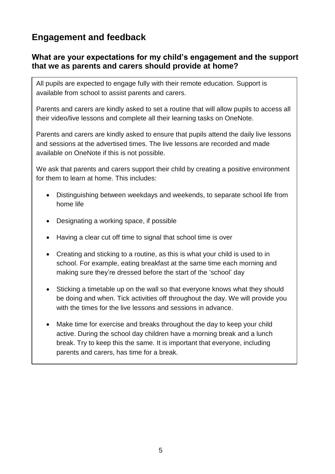# **Engagement and feedback**

#### **What are your expectations for my child's engagement and the support that we as parents and carers should provide at home?**

All pupils are expected to engage fully with their remote education. Support is available from school to assist parents and carers.

Parents and carers are kindly asked to set a routine that will allow pupils to access all their video/live lessons and complete all their learning tasks on OneNote.

Parents and carers are kindly asked to ensure that pupils attend the daily live lessons and sessions at the advertised times. The live lessons are recorded and made available on OneNote if this is not possible.

We ask that parents and carers support their child by creating a positive environment for them to learn at home. This includes:

- Distinguishing between weekdays and weekends, to separate school life from home life
- Designating a working space, if possible
- Having a clear cut off time to signal that school time is over
- Creating and sticking to a routine, as this is what your child is used to in school. For example, eating breakfast at the same time each morning and making sure they're dressed before the start of the 'school' day
- Sticking a timetable up on the wall so that everyone knows what they should be doing and when. Tick activities off throughout the day. We will provide you with the times for the live lessons and sessions in advance.
- Make time for exercise and breaks throughout the day to keep your child active. During the school day children have a morning break and a lunch break. Try to keep this the same. It is important that everyone, including parents and carers, has time for a break.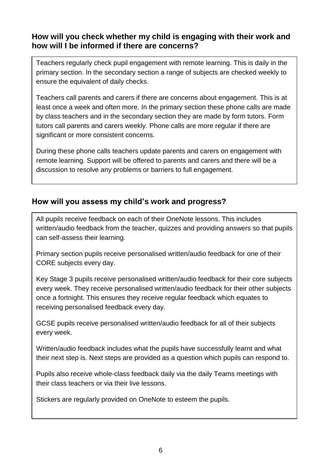#### **How will you check whether my child is engaging with their work and how will I be informed if there are concerns?**

Teachers regularly check pupil engagement with remote learning. This is daily in the primary section. In the secondary section a range of subjects are checked weekly to ensure the equivalent of daily checks.

Teachers call parents and carers if there are concerns about engagement. This is at least once a week and often more. In the primary section these phone calls are made by class teachers and in the secondary section they are made by form tutors. Form tutors call parents and carers weekly. Phone calls are more regular if there are significant or more consistent concerns.

During these phone calls teachers update parents and carers on engagement with remote learning. Support will be offered to parents and carers and there will be a discussion to resolve any problems or barriers to full engagement.

#### **How will you assess my child's work and progress?**

All pupils receive feedback on each of their OneNote lessons. This includes written/audio feedback from the teacher, quizzes and providing answers so that pupils can self-assess their learning.

Primary section pupils receive personalised written/audio feedback for one of their CORE subjects every day.

Key Stage 3 pupils receive personalised written/audio feedback for their core subjects every week. They receive personalised written/audio feedback for their other subjects once a fortnight. This ensures they receive regular feedback which equates to receiving personalised feedback every day.

GCSE pupils receive personalised written/audio feedback for all of their subjects every week.

Written/audio feedback includes what the pupils have successfully learnt and what their next step is. Next steps are provided as a question which pupils can respond to.

Pupils also receive whole-class feedback daily via the daily Teams meetings with their class teachers or via their live lessons.

Stickers are regularly provided on OneNote to esteem the pupils.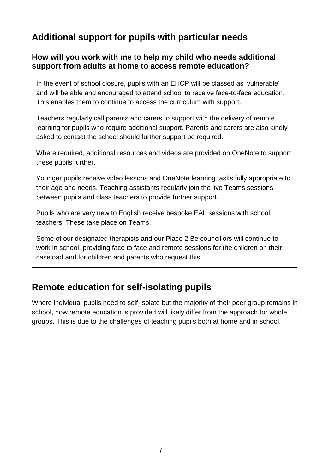## **Additional support for pupils with particular needs**

#### **How will you work with me to help my child who needs additional support from adults at home to access remote education?**

In the event of school closure, pupils with an EHCP will be classed as 'vulnerable' and will be able and encouraged to attend school to receive face-to-face education. This enables them to continue to access the curriculum with support.

Teachers regularly call parents and carers to support with the delivery of remote learning for pupils who require additional support. Parents and carers are also kindly asked to contact the school should further support be required.

Where required, additional resources and videos are provided on OneNote to support these pupils further.

Younger pupils receive video lessons and OneNote learning tasks fully appropriate to their age and needs. Teaching assistants regularly join the live Teams sessions between pupils and class teachers to provide further support.

Pupils who are very new to English receive bespoke EAL sessions with school teachers. These take place on Teams.

Some of our designated therapists and our Place 2 Be councillors will continue to work in school, providing face to face and remote sessions for the children on their caseload and for children and parents who request this.

## **Remote education for self-isolating pupils**

Where individual pupils need to self-isolate but the majority of their peer group remains in school, how remote education is provided will likely differ from the approach for whole groups. This is due to the challenges of teaching pupils both at home and in school.